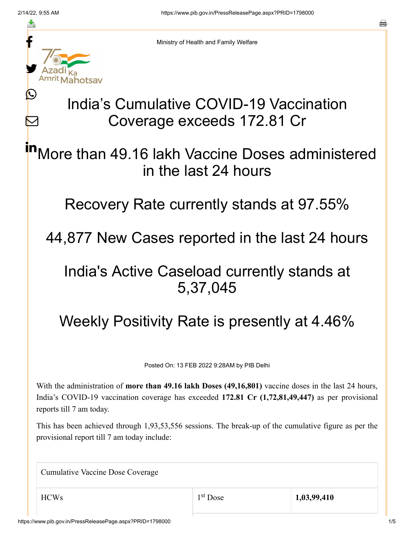≛

Ŀ

 $\bm{\nabla}$ 



Ministry of Health and Family Welfare

## India's Cumulative COVID-19 Vaccination Coverage exceeds 172.81 Cr

More than 49.16 lakh Vaccine Doses administered in the last 24 hours in

Recovery Rate currently stands at 97.55%

44,877 New Cases reported in the last 24 hours

## India's Active Caseload currently stands at 5,37,045

Weekly Positivity Rate is presently at 4.46%

Posted On: 13 FEB 2022 9:28AM by PIB Delhi

With the administration of **more than 49.16 lakh Doses (49,16,801)** vaccine doses in the last 24 hours, India's COVID-19 vaccination coverage has exceeded **172.81 Cr (1,72,81,49,447)** as per provisional reports till 7 am today.

This has been achieved through 1,93,53,556 sessions. The break-up of the cumulative figure as per the provisional report till 7 am today include:

Cumulative Vaccine Dose Coverage

HCWs 1,03,99,410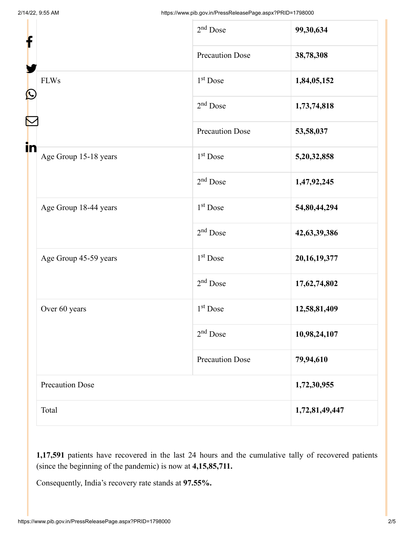| $\mathbf{\Omega}$<br>in |                        | $2nd$ Dose             | 99,30,634       |
|-------------------------|------------------------|------------------------|-----------------|
|                         |                        | <b>Precaution Dose</b> | 38,78,308       |
|                         | <b>FLWs</b>            | $1st$ Dose             | 1,84,05,152     |
|                         |                        | $2nd$ Dose             | 1,73,74,818     |
|                         |                        | <b>Precaution Dose</b> | 53,58,037       |
|                         | Age Group 15-18 years  | 1 <sup>st</sup> Dose   | 5,20,32,858     |
|                         |                        | $2nd$ Dose             | 1,47,92,245     |
|                         | Age Group 18-44 years  | 1 <sup>st</sup> Dose   | 54,80,44,294    |
|                         |                        | $2nd$ Dose             | 42,63,39,386    |
|                         | Age Group 45-59 years  | 1 <sup>st</sup> Dose   | 20, 16, 19, 377 |
|                         |                        | $2nd$ Dose             | 17,62,74,802    |
|                         | Over 60 years          | $1st$ Dose             | 12,58,81,409    |
|                         |                        | $2nd$ Dose             | 10,98,24,107    |
|                         |                        | <b>Precaution Dose</b> | 79,94,610       |
|                         | <b>Precaution Dose</b> |                        | 1,72,30,955     |
|                         | Total                  |                        | 1,72,81,49,447  |

**1,17,591** patients have recovered in the last 24 hours and the cumulative tally of recovered patients (since the beginning of the pandemic) is now at **4,15,85,711.**

Consequently, India's recovery rate stands at **97.55%.**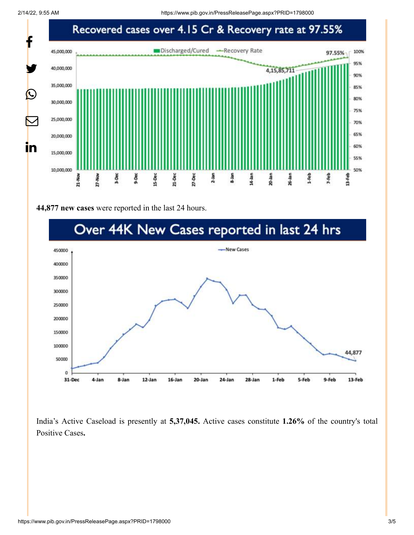2/14/22, 9:55 AM https://www.pib.gov.in/PressReleasePage.aspx?PRID=1798000



## **44,877 new cases** were reported in the last 24 hours.



India's Active Caseload is presently at **5,37,045.** Active cases constitute **1.26%** of the country's total Positive Cases**.**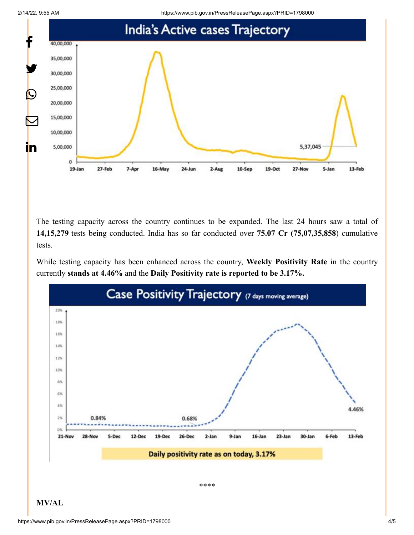



The testing capacity across the country continues to be expanded. The last 24 hours saw a total of **14,15,279** tests being conducted. India has so far conducted over **75.07 Cr (75,07,35,858**) cumulative tests.

While testing capacity has been enhanced across the country, **Weekly Positivity Rate** in the country currently **stands at 4.46%** and the **Daily Positivity rate is reported to be 3.17%.**